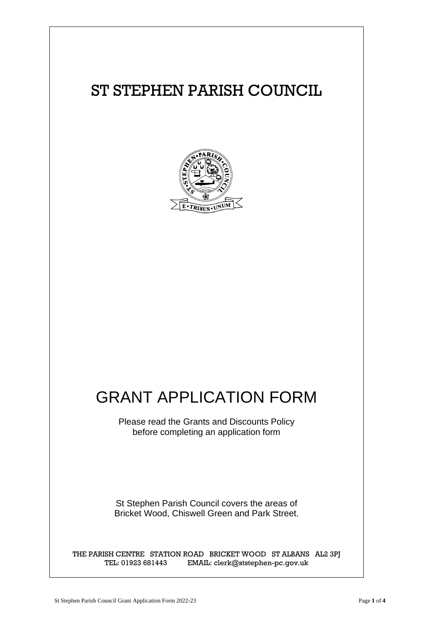

# GRANT APPLICATION FORM

Please read the Grants and Discounts Policy before completing an application form

St Stephen Parish Council covers the areas of Bricket Wood, Chiswell Green and Park Street.

THE PARISH CENTRE STATION ROAD BRICKET WOOD ST ALBANS AL2 3PJ TEL: 01923 681443 EMAIL: clerk@ststephen-pc.gov.uk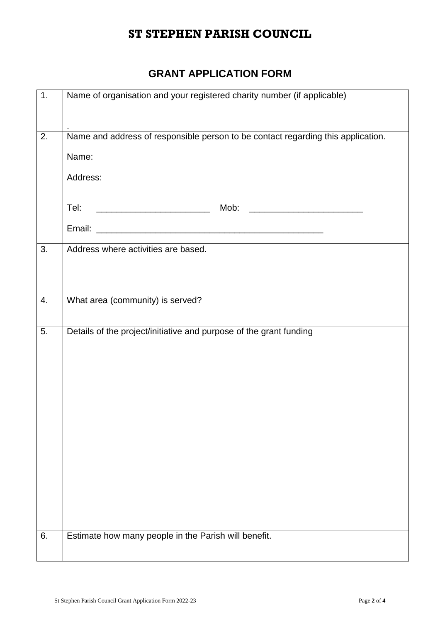#### **GRANT APPLICATION FORM**

| $\overline{1}$ . | Name of organisation and your registered charity number (if applicable)                                    |
|------------------|------------------------------------------------------------------------------------------------------------|
| 2.               | .<br>Name and address of responsible person to be contact regarding this application.<br>Name:<br>Address: |
|                  | <u> 2000 - Jan James James Barbara, martin d</u><br>Tel:                                                   |
| 3.               | Address where activities are based.                                                                        |
| 4.               | What area (community) is served?                                                                           |
| 5.               | Details of the project/initiative and purpose of the grant funding                                         |
| 6.               | Estimate how many people in the Parish will benefit.                                                       |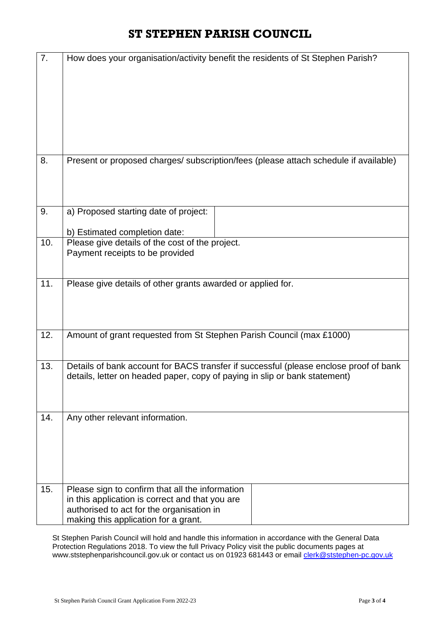| 7.  | How does your organisation/activity benefit the residents of St Stephen Parish?                                                                                                         |
|-----|-----------------------------------------------------------------------------------------------------------------------------------------------------------------------------------------|
| 8.  | Present or proposed charges/ subscription/fees (please attach schedule if available)                                                                                                    |
| 9.  | a) Proposed starting date of project:<br>b) Estimated completion date:                                                                                                                  |
| 10. | Please give details of the cost of the project.<br>Payment receipts to be provided                                                                                                      |
| 11. | Please give details of other grants awarded or applied for.                                                                                                                             |
| 12. | Amount of grant requested from St Stephen Parish Council (max £1000)                                                                                                                    |
| 13. | Details of bank account for BACS transfer if successful (please enclose proof of bank<br>details, letter on headed paper, copy of paying in slip or bank statement)                     |
| 14. | Any other relevant information.                                                                                                                                                         |
| 15. | Please sign to confirm that all the information<br>in this application is correct and that you are<br>authorised to act for the organisation in<br>making this application for a grant. |

St Stephen Parish Council will hold and handle this information in accordance with the General Data Protection Regulations 2018. To view the full Privacy Policy visit the public documents pages at www.ststephenparishcouncil.gov.uk or contact us on 01923 681443 or email [clerk@ststephen-pc.gov.uk](mailto:clerk@ststephen-pc.gov.uk)